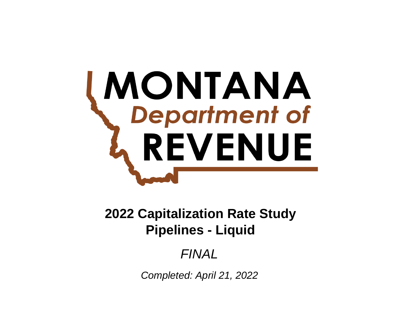# **MONTANA**<br>Department of **REVENUE**

# **Pipelines - Liquid 2022 Capitalization Rate Study**

# *FINAL*

*Completed: April 21, 2022*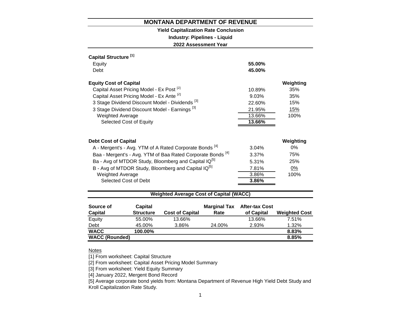# **Yield Capitalization Rate Conclusion**

**Industry: Pipelines - Liquid**

**2022 Assessment Year**

| Capital Structure <sup>[1]</sup>                                       |        |           |
|------------------------------------------------------------------------|--------|-----------|
| Equity                                                                 | 55.00% |           |
| Debt                                                                   | 45.00% |           |
| <b>Equity Cost of Capital</b>                                          |        | Weighting |
| Capital Asset Pricing Model - Ex Post <sup>[2]</sup>                   | 10.89% | 35%       |
| Capital Asset Pricing Model - Ex Ante [2]                              | 9.03%  | 35%       |
| 3 Stage Dividend Discount Model - Dividends <sup>[3]</sup>             | 22.60% | 15%       |
| 3 Stage Dividend Discount Model - Earnings <sup>[3]</sup>              | 21.95% | 15%       |
| <b>Weighted Average</b>                                                | 13.66% | 100%      |
| Selected Cost of Equity                                                | 13.66% |           |
|                                                                        |        |           |
| <b>Debt Cost of Capital</b>                                            |        | Weighting |
| A - Mergent's - Avg. YTM of A Rated Corporate Bonds <sup>[4]</sup>     | 3.04%  | $0\%$     |
| Baa - Mergent's - Avg. YTM of Baa Rated Corporate Bonds <sup>[4]</sup> | 3.37%  | 75%       |
| Ba - Avg of MTDOR Study, Bloomberg and Capital IQ <sup>[5]</sup>       | 5.31%  | 25%       |
| B - Avg of MTDOR Study, Bloomberg and Capital IQ <sup>[5]</sup>        | 7.81%  | 0%        |
| <b>Weighted Average</b>                                                | 3.86%  | 100%      |
| Selected Cost of Debt                                                  | 3.86%  |           |
|                                                                        |        |           |

# **Weighted Average Cost of Capital (WACC)**

| Source of             | Capital          |                        | <b>Marginal Tax</b> | <b>After-tax Cost</b> |                      |
|-----------------------|------------------|------------------------|---------------------|-----------------------|----------------------|
| <b>Capital</b>        | <b>Structure</b> | <b>Cost of Capital</b> | Rate                | of Capital            | <b>Weighted Cost</b> |
| Equity                | 55.00%           | 13.66%                 |                     | 13.66%                | 7.51%                |
| Debt                  | 45.00%           | 3.86%                  | 24.00%              | 2.93%                 | 1.32%                |
| <b>WACC</b>           | 100.00%          |                        |                     |                       | 8.83%                |
| <b>WACC (Rounded)</b> |                  |                        |                     |                       | 8.85%                |

# Notes

[1] From worksheet: Capital Structure

[2] From worksheet: Capital Asset Pricing Model Summary

[3] From worksheet: Yield Equity Summary

[4] January 2022, Mergent Bond Record

[5] Average corporate bond yields from: Montana Department of Revenue High Yield Debt Study and Kroll Capitalization Rate Study.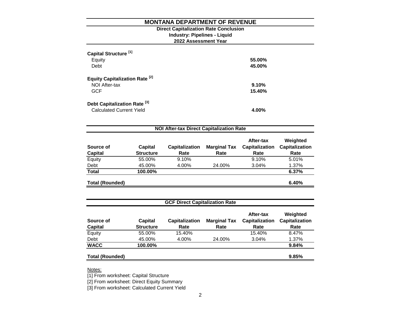**2022 Assessment Year Industry: Pipelines - Liquid Direct Capitalization Rate Conclusion**

| Capital Structure <sup>[1]</sup><br>Equity<br>Debt                         | 55.00%<br>45.00% |
|----------------------------------------------------------------------------|------------------|
| Equity Capitalization Rate <sup>[2]</sup><br>NOI After-tax<br><b>GCF</b>   | 9.10%<br>15.40%  |
| Debt Capitalization Rate <sup>[3]</sup><br><b>Calculated Current Yield</b> | 4.00%            |

| Source of<br><b>Capital</b> | <b>Capital</b><br><b>Structure</b> | <b>Capitalization</b><br>Rate | <b>Marginal Tax</b><br>Rate | After-tax<br><b>Capitalization</b><br>Rate | Weighted<br><b>Capitalization</b><br>Rate |
|-----------------------------|------------------------------------|-------------------------------|-----------------------------|--------------------------------------------|-------------------------------------------|
| Equity                      | 55.00%                             | 9.10%                         |                             | 9.10%                                      | 5.01%                                     |
| Debt                        | 45.00%                             | 4.00%                         | 24.00%                      | 3.04%                                      | 1.37%                                     |
| <b>Total</b>                | 100.00%                            |                               |                             |                                            | 6.37%                                     |
| <b>Total (Rounded)</b>      |                                    |                               |                             |                                            | 6.40%                                     |

| <b>GCF Direct Capitalization Rate</b> |                             |                               |                             |                                            |                                           |  |  |  |  |
|---------------------------------------|-----------------------------|-------------------------------|-----------------------------|--------------------------------------------|-------------------------------------------|--|--|--|--|
| Source of<br><b>Capital</b>           | Capital<br><b>Structure</b> | <b>Capitalization</b><br>Rate | <b>Marginal Tax</b><br>Rate | After-tax<br><b>Capitalization</b><br>Rate | Weighted<br><b>Capitalization</b><br>Rate |  |  |  |  |
| Equity                                | 55.00%                      | 15.40%                        |                             | 15.40%                                     | 8.47%                                     |  |  |  |  |
| Debt                                  | 45.00%                      | 4.00%                         | 24.00%                      | 3.04%                                      | 1.37%                                     |  |  |  |  |
| <b>WACC</b>                           | 100.00%                     |                               |                             |                                            | 9.84%                                     |  |  |  |  |
| <b>Total (Rounded)</b>                |                             |                               |                             |                                            | 9.85%                                     |  |  |  |  |

Notes:

[1] From worksheet: Capital Structure

[2] From worksheet: Direct Equity Summary

[3] From worksheet: Calculated Current Yield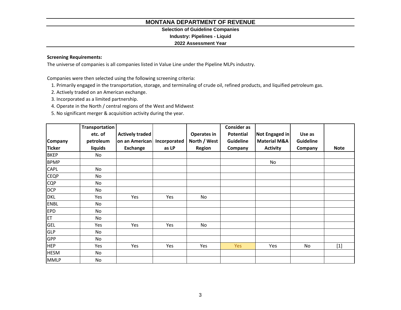# **Selection of Guideline Companies**

**Industry: Pipelines - Liquid**

# **2022 Assessment Year**

# **Screening Requirements:**

The universe of companies is all companies listed in Value Line under the Pipeline MLPs industry.

Companies were then selected using the following screening criteria:

- 1. Primarily engaged in the transportation, storage, and terminaling of crude oil, refined products, and liquified petroleum gas.
- 2. Actively traded on an American exchange.
- 3. Incorporated as a limited partnership.
- 4. Operate in the North / central regions of the West and Midwest
- 5. No significant merger & acquisition activity during the year.

|                | Transportation |                 |              |              | <b>Consider as</b> |                         |                  |             |
|----------------|----------------|-----------------|--------------|--------------|--------------------|-------------------------|------------------|-------------|
|                | etc. of        | Actively traded |              | Operates in  | Potential          | Not Engaged in          | Use as           |             |
| <b>Company</b> | petroleum      | on an American  | Incorporated | North / West | Guideline          | <b>Material M&amp;A</b> | <b>Guideline</b> |             |
| <b>Ticker</b>  | liquids        | <b>Exchange</b> | as LP        | Region       | Company            | <b>Activity</b>         | Company          | <b>Note</b> |
| <b>BKEP</b>    | No             |                 |              |              |                    |                         |                  |             |
| <b>BPMP</b>    |                |                 |              |              |                    | No                      |                  |             |
| CAPL           | No             |                 |              |              |                    |                         |                  |             |
| <b>CEQP</b>    | No             |                 |              |              |                    |                         |                  |             |
| <b>CQP</b>     | No             |                 |              |              |                    |                         |                  |             |
| <b>DCP</b>     | No             |                 |              |              |                    |                         |                  |             |
| <b>DKL</b>     | Yes            | Yes             | Yes          | No           |                    |                         |                  |             |
| <b>ENBL</b>    | No             |                 |              |              |                    |                         |                  |             |
| <b>EPD</b>     | No             |                 |              |              |                    |                         |                  |             |
| ET             | No             |                 |              |              |                    |                         |                  |             |
| GEL            | Yes            | Yes             | Yes          | No           |                    |                         |                  |             |
| <b>GLP</b>     | No             |                 |              |              |                    |                         |                  |             |
| GPP            | No             |                 |              |              |                    |                         |                  |             |
| <b>HEP</b>     | Yes            | Yes             | Yes          | Yes          | <b>Yes</b>         | Yes                     | No               | $[1]$       |
| <b>HESM</b>    | No             |                 |              |              |                    |                         |                  |             |
| <b>MMLP</b>    | No             |                 |              |              |                    |                         |                  |             |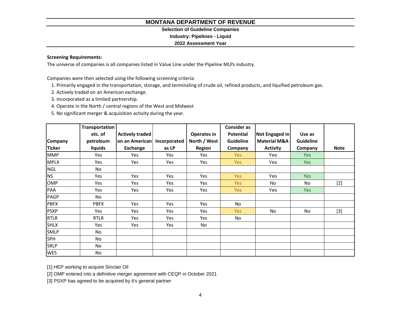# **Selection of Guideline Companies**

**Industry: Pipelines - Liquid**

# **2022 Assessment Year**

# **Screening Requirements:**

The universe of companies is all companies listed in Value Line under the Pipeline MLPs industry.

Companies were then selected using the following screening criteria:

- 1. Primarily engaged in the transportation, storage, and terminaling of crude oil, refined products, and liquified petroleum gas.
- 2. Actively traded on an American exchange.
- 3. Incorporated as a limited partnership.
- 4. Operate in the North / central regions of the West and Midwest
- 5. No significant merger & acquisition activity during the year.

|                | Transportation |                        |              |              | <b>Consider as</b> |                         |                  |             |
|----------------|----------------|------------------------|--------------|--------------|--------------------|-------------------------|------------------|-------------|
|                | etc. of        | <b>Actively traded</b> |              | Operates in  | <b>Potential</b>   | Not Engaged in          | Use as           |             |
| <b>Company</b> | petroleum      | on an American         | Incorporated | North / West | <b>Guideline</b>   | <b>Material M&amp;A</b> | <b>Guideline</b> |             |
| <b>Ticker</b>  | liquids        | Exchange               | as LP        | Region       | Company            | <b>Activity</b>         | Company          | <b>Note</b> |
| <b>MMP</b>     | Yes            | Yes                    | Yes          | Yes          | Yes                | Yes                     | <b>Yes</b>       |             |
| <b>MPLX</b>    | Yes            | Yes                    | Yes          | Yes          | Yes                | Yes                     | <b>Yes</b>       |             |
| <b>NGL</b>     | No             |                        |              |              |                    |                         |                  |             |
| <b>NS</b>      | Yes            | Yes                    | Yes          | Yes          | Yes                | Yes                     | Yes              |             |
| <b>OMP</b>     | Yes            | Yes                    | Yes          | Yes          | Yes                | <b>No</b>               | No               | $[2]$       |
| PAA            | Yes            | Yes                    | Yes          | Yes          | Yes                | Yes                     | <b>Yes</b>       |             |
| PAGP           | No             |                        |              |              |                    |                         |                  |             |
| <b>PBFX</b>    | <b>PBFX</b>    | Yes                    | Yes          | Yes          | No                 |                         |                  |             |
| <b>PSXP</b>    | Yes            | Yes                    | Yes          | Yes          | Yes                | No                      | No               | $[3]$       |
| <b>RTLR</b>    | <b>RTLR</b>    | Yes                    | Yes          | Yes          | No                 |                         |                  |             |
| <b>SHLX</b>    | Yes            | Yes                    | Yes          | No           |                    |                         |                  |             |
| <b>SMLP</b>    | No             |                        |              |              |                    |                         |                  |             |
| <b>SPH</b>     | No             |                        |              |              |                    |                         |                  |             |
| <b>SRLP</b>    | No             |                        |              |              |                    |                         |                  |             |
| <b>WES</b>     | No             |                        |              |              |                    |                         |                  |             |

[1] HEP working to acquire Sinclair Oil

[2] OMP entered into a definitive merger agreement with CEQP in October 2021

[3] PSXP has agreed to be acquired by it's general partner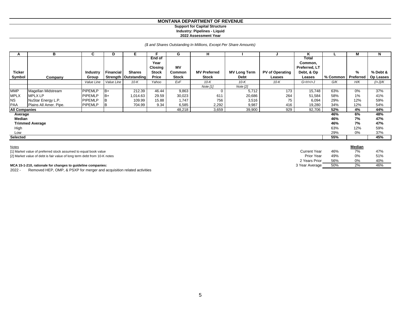#### **MONTANA DEPARTMENT OF REVENUE Support for Capital Structure Industry: Pipelines - Liquid**

#### **2022 Assessment Year**

*(\$ and Shares Outstanding In Millions, Except Per Share Amounts)*

| A                    | в                                                                        | C              | D          | E.                     |               | G            | н                   |                     |                        | Κ                   |          | M             | N         |
|----------------------|--------------------------------------------------------------------------|----------------|------------|------------------------|---------------|--------------|---------------------|---------------------|------------------------|---------------------|----------|---------------|-----------|
|                      |                                                                          |                |            |                        | <b>End of</b> |              |                     |                     |                        | Total               |          |               |           |
|                      |                                                                          |                |            |                        | Year          |              |                     |                     |                        | Common,             |          |               |           |
|                      |                                                                          |                |            |                        | Closing       | <b>MV</b>    |                     |                     |                        | Preferred, LT       |          |               |           |
| <b>Ticker</b>        |                                                                          | Industry       | Financial  | <b>Shares</b>          | <b>Stock</b>  | Common       | <b>MV Preferred</b> | <b>MV Long Term</b> | <b>PV of Operating</b> | Debt, & Op          |          | %             | % Debt &  |
| Symbol               | Company                                                                  | Group          |            | Strength   Outstanding | Price         | <b>Stock</b> | <b>Stock</b>        | Debt                | Leases                 | Leases              | % Common | Preferred     | Op Leases |
|                      |                                                                          | Value Line     | Value Line | $10-K$                 | Yahoo         | ExF          | $10-K$              | $10-K$              | $10-K$                 | $G+H+H+J$           | G/K      | H/K           | $(l+J)/K$ |
|                      |                                                                          |                |            |                        |               |              | Note $[1]$          | Note $[2]$          |                        |                     |          |               |           |
| <b>MMP</b>           | Magellan Midstream                                                       | <b>PIPEMLP</b> | $B+$       | 212.39                 | 46.44         | 9,863        | $\Omega$            | 5,712               | 173                    | 15,748              | 63%      | 0%            | 37%       |
| <b>MPLX</b>          | <b>MPLX LP</b>                                                           | <b>PIPEMLP</b> | $B+$       | 1,014.63               | 29.59         | 30,023       | 611                 | 20,686              | 264                    | 51,584              | 58%      | 1%            | 41%       |
| <b>NS</b>            | NuStar Energy L.P.                                                       | <b>PIPEMLP</b> | ΙB         | 109.99                 | 15.88         | 1,747        | 756                 | 3,516               | 75                     | 6,094               | 29%      | 12%           | 59%       |
| <b>PAA</b>           | Plains All Amer. Pipe.                                                   | <b>PIPEMLP</b> | IB         | 704.99                 | 9.34          | 6,585        | 2,292               | 9,987               | 416                    | 19,280              | 34%      | 12%           | 54%       |
| <b>All Companies</b> |                                                                          |                |            |                        |               | 48,218       | 3,659               | 39,900              | 929                    | 92,706              | 52%      | 4%            | 44%       |
| Average              |                                                                          |                |            |                        |               |              |                     |                     |                        |                     | 46%      | 6%            | 48%       |
| Median               |                                                                          |                |            |                        |               |              |                     |                     |                        |                     | 46%      | 7%            | 47%       |
|                      | <b>Trimmed Average</b>                                                   |                |            |                        |               |              |                     |                     |                        |                     | 46%      | 7%            | 47%       |
| High                 |                                                                          |                |            |                        |               |              |                     |                     |                        |                     | 63%      | 12%           | 59%       |
| Low                  |                                                                          |                |            |                        |               |              |                     |                     |                        |                     | 29%      | 0%            | 37%       |
| <b>Selected</b>      |                                                                          |                |            |                        |               |              |                     |                     |                        |                     | 55%      |               | 45%       |
|                      |                                                                          |                |            |                        |               |              |                     |                     |                        |                     |          |               |           |
| <b>Notes</b>         |                                                                          |                |            |                        |               |              |                     |                     |                        |                     |          | <b>Median</b> |           |
|                      | [1] Market value of preferred stock assumed to equal book value          |                |            |                        |               |              |                     |                     |                        | <b>Current Year</b> | 46%      | 7%            | 47%       |
|                      | [2] Market value of debt is fair value of long term debt from 10-K notes |                |            |                        |               |              |                     |                     |                        | Prior Year          | 49%      | 0%            | 51%       |
|                      |                                                                          |                |            |                        |               |              |                     |                     |                        | 2 Years Prior       | 56%      | 0%            | 40%       |

2 Years Prior 56% 0%<br>Year Average 50% 2%

#### **MCA 15-1-210, rationale for changes to guideline companies:** 3 Year Average 3 Year Average 3 Year Average 3 19% 2% 46%

2022 - Removed HEP, OMP, & PSXP for merger and acquisition related activities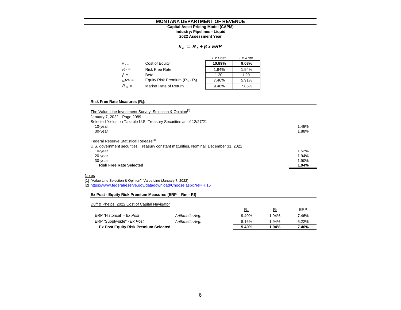#### **MONTANA DEPARTMENT OF REVENUE 2022 Assessment Year Industry: Pipelines - Liquid Capital Asset Pricing Model (CAPM)**

## *k e = R <sup>f</sup> + β x ERP*

|           |                                   | Ex Post | Ex Ante |
|-----------|-----------------------------------|---------|---------|
| $k_{e}$   | Cost of Equity                    | 10.89%  | 9.03%   |
| $R_f =$   | <b>Risk Free Rate</b>             | 1.94%   | 1.94%   |
| $\beta =$ | Beta                              | 1.20    | 1.20    |
| $ERP =$   | Equity Risk Premium $(R_m - R_i)$ | 7.46%   | 5.91%   |
| $R_m =$   | Market Rate of Return             | 9.40%   | 7.85%   |

#### **Risk Free Rate Measures (R<sup>f</sup> ):**

| The Value Line Investment Survey: Selection & Opinion <sup>[1]</sup>                 |       |
|--------------------------------------------------------------------------------------|-------|
| January 7, 2022 Page 2089                                                            |       |
| Selected Yields on Taxable U.S. Treasury Securities as of 12/27/21                   |       |
| 10-year                                                                              | 1.48% |
| 30-year                                                                              | 1.88% |
| Federal Reserve Statistical Release <sup>[2]</sup>                                   |       |
| U.S. government securities, Treasury constant maturities, Nominal, December 31, 2021 |       |
| 10-year                                                                              | 1.52% |
| 20-year                                                                              | 1.94% |
| 30-year                                                                              | 1.90% |
| <b>Risk Free Rate Selected</b>                                                       | 1.94% |
| Notes                                                                                |       |
| [1] "Value Line Selection & Opinion", Value Line (January 7, 2022)                   |       |
| [2] https://www.federalreserve.gov/datadownload/Choose.aspx?rel=H.15                 |       |
| Ex Post - Equity Risk Premium Measures (ERP = Rm - Rf)                               |       |
| Duff & Phelps, 2022 Cost of Capital Navigator                                        |       |

|                                             |                 | $R_m$ | R٠       | <b>ERP</b> |
|---------------------------------------------|-----------------|-------|----------|------------|
| ERP "Historical" - Ex Post                  | Arithmetic Avg. | 9.40% | 1.94%    | 7.46%      |
| ERP "Supply-side" - Ex Post                 | Arithmetic Avg. | 8.16% | $1.94\%$ | 6.22%      |
| <b>Ex Post Equity Risk Premium Selected</b> |                 | 9.40% | 1.94%    | 7.46%      |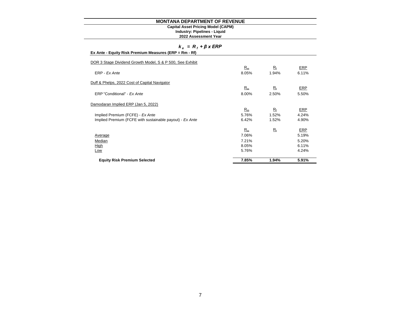#### **Industry: Pipelines - Liquid Capital Asset Pricing Model (CAPM)**

**2022 Assessment Year**

|  |  |  |  |  |  | $R_f$ + $\beta$ x ERP |
|--|--|--|--|--|--|-----------------------|
|--|--|--|--|--|--|-----------------------|

| Ex Ante - Equity Risk Premium Measures (ERP = Rm - Rf) |  |
|--------------------------------------------------------|--|
|--------------------------------------------------------|--|

| <b>Equity Risk Premium Selected</b>                       | 7.85% | 1.94%       | 5.91% |
|-----------------------------------------------------------|-------|-------------|-------|
|                                                           |       |             |       |
| Low                                                       | 5.76% |             | 4.24% |
| <b>High</b>                                               | 8.05% |             | 6.11% |
| Median                                                    | 7.21% |             | 5.20% |
| Average                                                   | 7.06% |             | 5.19% |
|                                                           | $R_m$ | $R_{f}$     | ERP   |
| Implied Premium (FCFE with sustainable payout) - Ex Ante  | 6.42% | 1.52%       | 4.90% |
| Implied Premium (FCFE) - Ex Ante                          | 5.76% | 1.52%       | 4.24% |
|                                                           | $R_m$ | $R_{\rm f}$ | ERP   |
| Damodaran Implied ERP (Jan 5, 2022)                       |       |             |       |
|                                                           |       |             |       |
| ERP "Conditional" - Ex Ante                               | 8.00% | 2.50%       | 5.50% |
|                                                           | $R_m$ | $R_{\rm f}$ | ERP   |
| Duff & Phelps, 2022 Cost of Capital Navigator             |       |             |       |
| ERP - Ex Ante                                             | 8.05% | 1.94%       | 6.11% |
|                                                           | $R_m$ | $R_{\rm f}$ | ERP   |
| DOR 3 Stage Dividend Growth Model, S & P 500, See Exhibit |       |             |       |
|                                                           |       |             |       |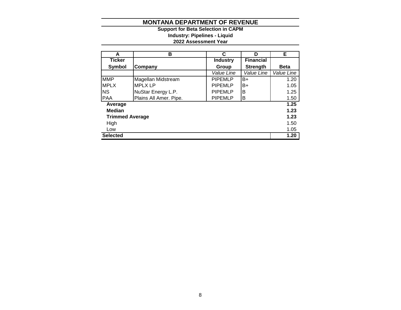**2022 Assessment Year Industry: Pipelines - Liquid Support for Beta Selection in CAPM**

| A                      | в                      | C               | D                | Е           |
|------------------------|------------------------|-----------------|------------------|-------------|
| <b>Ticker</b>          |                        | <b>Industry</b> | <b>Financial</b> |             |
| <b>Symbol</b>          | Company                | Group           | <b>Strength</b>  | <b>Beta</b> |
|                        |                        | Value Line      | Value Line       | Value Line  |
| <b>MMP</b>             | Magellan Midstream     | <b>PIPEMLP</b>  | B+               | 1.20        |
| <b>MPLX</b>            | <b>MPLX LP</b>         | <b>PIPEMLP</b>  | B+               | 1.05        |
| <b>NS</b>              | NuStar Energy L.P.     | <b>PIPEMLP</b>  | B                | 1.25        |
| <b>PAA</b>             | Plains All Amer. Pipe. | <b>PIPEMLP</b>  | В                | 1.50        |
| Average                |                        |                 |                  | 1.25        |
| <b>Median</b>          |                        |                 |                  | 1.23        |
| <b>Trimmed Average</b> |                        |                 |                  | 1.23        |
| High                   |                        |                 |                  | 1.50        |
| Low                    |                        |                 |                  | 1.05        |
| <b>Selected</b>        |                        |                 |                  | 1.20        |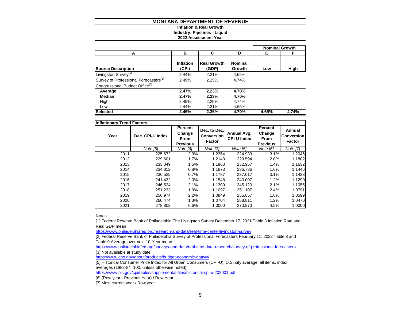#### **Inflation & Real Growth Industry: Pipelines - Liquid**

# **2022 Assessment Year**

|                                                   |                    |                             |                          |       | <b>Nominal Growth</b> |
|---------------------------------------------------|--------------------|-----------------------------|--------------------------|-------|-----------------------|
| А                                                 | в                  | С                           | D                        | Е.    | F                     |
| <b>Source Description</b>                         | Inflation<br>(CPI) | <b>Real Growth</b><br>(GDP) | <b>Nominal</b><br>Growth | Low   | High                  |
| Livingston Survey <sup>[1]</sup>                  | 2.44%              | 2.21%                       | 4.65%                    |       |                       |
| Survey of Professional Forecasters <sup>[2]</sup> | 2.49%              | 2.25%                       | 4.74%                    |       |                       |
| Congressional Budget Office <sup>[3]</sup>        |                    |                             |                          |       |                       |
| Average                                           | 2.47%              | 2.23%                       | 4.70%                    |       |                       |
| Median                                            | 2.47%              | 2.23%                       | 4.70%                    |       |                       |
| High                                              | 2.49%              | 2.25%                       | 4.74%                    |       |                       |
| Low                                               | 2.44%              | 2.21%                       | 4.65%                    |       |                       |
| <b>Selected</b>                                   | 2.45%              | 2.25%                       | 4.70%                    | 4.65% | 4.74%                 |

| <b>Inflationary Trend Factors</b> |                  |                                                            |                                             |                                   |                                                     |                                              |
|-----------------------------------|------------------|------------------------------------------------------------|---------------------------------------------|-----------------------------------|-----------------------------------------------------|----------------------------------------------|
| Year                              | Dec. CPI-U Index | <b>Percent</b><br>Change<br><b>From</b><br><b>Previous</b> | Dec. to Dec.<br>Conversion<br><b>Factor</b> | Annual Avg.<br><b>CPI-U Index</b> | Percent<br>Change<br><b>From</b><br><b>Previous</b> | Annual<br><b>Conversion</b><br><b>Factor</b> |
|                                   | Note [5]         | Note [6]                                                   | Note [7]                                    | Note [5]                          | Note [6]                                            | Note [7]                                     |
| 2011                              | 225.672          | 2.9%                                                       | 1.2354                                      | 224.939                           | 3.1%                                                | 1.2046                                       |
| 2012                              | 229.601          | 1.7%                                                       | 1.2143                                      | 229.594                           | 2.0%                                                | 1.1802                                       |
| 2013                              | 233.049          | 1.5%                                                       | 1.1963                                      | 232.957                           | 1.4%                                                | 1.1632                                       |
| 2014                              | 234.812          | 0.8%                                                       | 1.1873                                      | 236.736                           | 1.6%                                                | 1.1446                                       |
| 2015                              | 236.525          | 0.7%                                                       | 1.1787                                      | 237.017                           | 0.1%                                                | 1.1433                                       |
| 2016                              | 241.432          | 2.0%                                                       | 1.1548                                      | 240.007                           | 1.2%                                                | 1.1290                                       |
| 2017                              | 246.524          | 2.1%                                                       | 1.1309                                      | 245.120                           | 2.1%                                                | 1.1055                                       |
| 2018                              | 251.233          | 1.9%                                                       | 1.1097                                      | 251.107                           | 2.4%                                                | 1.0791                                       |
| 2019                              | 256.974          | 2.2%                                                       | 1.0849                                      | 255.657                           | 1.8%                                                | 1.0599                                       |
| 2020                              | 260.474          | 1.3%                                                       | 1.0704                                      | 258.811                           | 1.2%                                                | 1.0470                                       |
| 2021                              | 278.802          | 6.6%                                                       | 1.0000                                      | 270.970                           | 4.5%                                                | 1.0000                                       |

**Notes** 

[1] Federal Reserve Bank of Philadelphia The Livingston Survey December 17, 2021 Table 3 Inflation Rate and Real GDP mean

<https://www.philadelphiafed.org/research-and-data/real-time-center/livingston-survey>

[2] Federal Reserve Bank of Philadelphia Survey of Professional Forecasters February 11, 2022 Table 8 and Table 9 Average over next 10-Year mean

<https://www.philadelphiafed.org/surveys-and-data/real-time-data-research/survey-of-professional-forecasters> [3] Not available at study date

<https://www.cbo.gov/about/products/budget-economic-data#4>

[5] Historical Consumer Price Index for All Urban Consumers (CPI-U): U.S. city average, all items, index averages (1982-84=100, unless otherwise noted)

<https://www.bls.gov/cpi/tables/supplemental-files/historical-cpi-u-202001.pdf>

[6] (Row year - Previous Year) / Row Year

[7] Most current year / Row year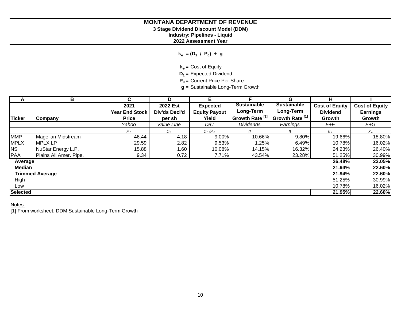# **3 Stage Dividend Discount Model (DDM)**

**Industry: Pipelines - Liquid**

**2022 Assessment Year**

**ke = (D<sup>1</sup> / P<sup>0</sup> ) + g**

**ke =** Cost of Equity

**D1 =** Expected Dividend

**P0 =** Current Price Per Share

**g =** Sustainable Long-Term Growth

| A               | В                      | C.                    | D             | E.                   | F                          | G                          | н.                    |                       |
|-----------------|------------------------|-----------------------|---------------|----------------------|----------------------------|----------------------------|-----------------------|-----------------------|
|                 |                        | 2021                  | 2022 Est      | <b>Expected</b>      | <b>Sustainable</b>         | <b>Sustainable</b>         | <b>Cost of Equity</b> | <b>Cost of Equity</b> |
|                 |                        | <b>Year End Stock</b> | Div'ds Decl'd | <b>Equity Payout</b> | Long-Term                  | Long-Term                  | <b>Dividend</b>       | <b>Earnings</b>       |
| <b>Ticker</b>   | Company                | <b>Price</b>          | per sh        | Yield                | Growth Rate <sup>[1]</sup> | Growth Rate <sup>[1]</sup> | Growth                | Growth                |
|                 |                        | Yahoo                 | Value Line    | D/C                  | <b>Dividends</b>           | Earnings                   | E+F                   | $E+G$                 |
|                 |                        | $P_{0}$               | $D_{1}$       | $D_1/P_0$            | g                          | g                          | $K_{\alpha}$          |                       |
| <b>MMP</b>      | Magellan Midstream     | 46.44                 | 4.18          | 9.00%                | 10.66%                     | 9.80%                      | 19.66%                | 18.80%                |
| <b>MPLX</b>     | <b>MPLX LP</b>         | 29.59                 | 2.82          | 9.53%                | 1.25%                      | 6.49%                      | 10.78%                | 16.02%                |
| <b>NS</b>       | NuStar Energy L.P.     | 15.88                 | 1.60          | 10.08%               | 14.15%                     | 16.32%                     | 24.23%                | 26.40%                |
| <b>PAA</b>      | Plains All Amer. Pipe. | 9.34                  | 0.72          | 7.71%                | 43.54%                     | 23.28%                     | 51.25%                | 30.99%                |
| Average         |                        |                       |               |                      |                            |                            | 26.48%                | 23.05%                |
| <b>Median</b>   |                        |                       |               |                      |                            |                            | 21.94%                | 22.60%                |
|                 | <b>Trimmed Average</b> |                       |               |                      |                            |                            | 21.94%                | 22.60%                |
| High            |                        |                       |               |                      |                            |                            | 51.25%                | 30.99%                |
| Low             |                        |                       |               |                      |                            |                            | 10.78%                | 16.02%                |
| <b>Selected</b> |                        |                       |               |                      |                            |                            | 21.95%                | 22.60%                |

Notes:

[1] From worksheet: DDM Sustainable Long-Term Growth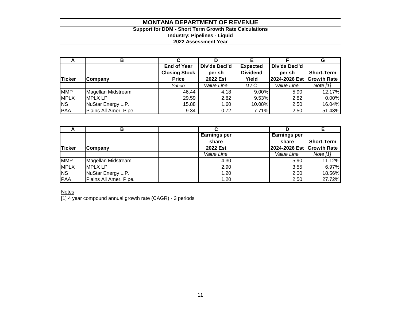# **Support for DDM - Short Term Growth Rate Calculations Industry: Pipelines - Liquid 2022 Assessment Year**

| $\mathbf{\mathsf{m}}$ | в                      |                      |               |                 |               | G                  |
|-----------------------|------------------------|----------------------|---------------|-----------------|---------------|--------------------|
|                       |                        | <b>End of Year</b>   | Div'ds Decl'd | <b>Expected</b> | Div'ds Decl'd |                    |
|                       |                        | <b>Closing Stock</b> | per sh        | <b>Dividend</b> | per sh        | <b>Short-Term</b>  |
| Ticker                | Company                | <b>Price</b>         | 2022 Est      | Yield           | 2024-2026 Est | <b>Growth Rate</b> |
|                       |                        | Yahoo                | Value Line    | D/C             | Value Line    | Note [1]           |
| <b>MMP</b>            | Magellan Midstream     | 46.44                | 4.18          | $9.00\%$        | 5.90          | 12.17%             |
| <b>MPLX</b>           | <b>MPLX LP</b>         | 29.59                | 2.82          | 9.53%           | 2.82          | 0.00%              |
| <b>NS</b>             | NuStar Energy L.P.     | 15.88                | 1.60          | 10.08%          | 2.50          | 16.04%             |
| PAA                   | Plains All Amer. Pipe. | 9.34                 | 0.72          | 7.71%           | 2.50          | 51.43%             |

|             | в                      |                     |                     |                           |
|-------------|------------------------|---------------------|---------------------|---------------------------|
|             |                        | <b>Earnings per</b> | <b>Earnings per</b> |                           |
|             |                        | share               | share               | <b>Short-Term</b>         |
| Ticker      | <b>Company</b>         | 2022 Est            |                     | 2024-2026 Est Growth Rate |
|             |                        | Value Line          | Value Line          | Note $[1]$                |
| <b>MMP</b>  | Magellan Midstream     | 4.30                | 5.90                | 11.12%                    |
| <b>MPLX</b> | <b>IMPLX LP</b>        | 2.90                | 3.55                | 6.97%                     |
| <b>NS</b>   | NuStar Energy L.P.     | 1.20                | 2.00                | 18.56%                    |
| PAA         | Plains All Amer. Pipe. | 1.20                | 2.50                | 27.72%                    |

**Notes** 

[1] 4 year compound annual growth rate (CAGR) - 3 periods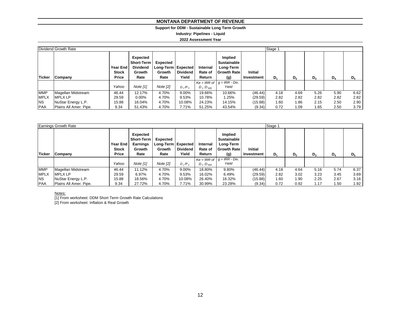# **Support for DDM - Sustainable Long Term Growth**

**Industry: Pipelines - Liquid**

#### **2022 Assessment Year**

|               | Dividend Growth Rate   |                                                 |                                                                    |                                                         |                          |                               |                                                                  |                              | Stage 1 |      |       |       |       |
|---------------|------------------------|-------------------------------------------------|--------------------------------------------------------------------|---------------------------------------------------------|--------------------------|-------------------------------|------------------------------------------------------------------|------------------------------|---------|------|-------|-------|-------|
| <b>Ticker</b> | Company                | <b>Year End</b><br><b>Stock</b><br><b>Price</b> | Expected<br><b>Short-Term</b><br><b>Dividend</b><br>Growth<br>Rate | Expected<br>Long-Term Expected<br><b>Growth</b><br>Rate | <b>Dividend</b><br>Yield | Internal<br>Rate of<br>Return | Implied<br>Sustainable<br>Long-Term<br><b>Growth Rate</b><br>(g) | <b>Initial</b><br>Investment | $D_1$   | D,   | $D_3$ | $D_4$ | $D_5$ |
|               |                        |                                                 |                                                                    |                                                         |                          |                               | $Ke = IRR$ of $g = IRR - Div.$                                   |                              |         |      |       |       |       |
|               |                        | Yahoo                                           | Note [1]                                                           | Note [2]                                                | $D_1/P_0$                | $D_1:D_{500}$                 | Yield                                                            |                              |         |      |       |       |       |
| <b>MMP</b>    | Magellan Midstream     | 46.44                                           | 12.17%                                                             | 4.70%                                                   | 9.00%                    | 19.66%                        | 10.66%                                                           | (46.44)                      | 4.18    | 4.69 | 5.26  | 5.90  | 6.62  |
| <b>MPLX</b>   | <b>MPLX LP</b>         | 29.59                                           | $0.00\%$                                                           | 4.70%                                                   | 9.53%                    | 10.78%                        | 1.25%                                                            | (29.59)                      | 2.82    | 2.82 | 2.82  | 2.82  | 2.82  |
| <b>NS</b>     | NuStar Energy L.P.     | 15.88                                           | 16.04%                                                             | 4.70%                                                   | 10.08%                   | 24.23%                        | 14.15%                                                           | (15.88)                      | 1.60    | 1.86 | 2.15  | 2.50  | 2.90  |
| <b>PAA</b>    | Plains All Amer. Pipe. | 9.34                                            | 51.43%                                                             | 4.70%                                                   | 7.71%                    | 51.25%                        | 43.54%                                                           | (9.34)                       | 0.72    | 1.09 | 1.65  | 2.50  | 3.79  |

|             | Earnings Growth Rate   |                                          |                                                                           |                                                    |                          |                               |                                                                         |                              | Stage 1        |             |      |       |                   |  |  |  |  |
|-------------|------------------------|------------------------------------------|---------------------------------------------------------------------------|----------------------------------------------------|--------------------------|-------------------------------|-------------------------------------------------------------------------|------------------------------|----------------|-------------|------|-------|-------------------|--|--|--|--|
| Ticker      | Company                | <b>Year End</b><br><b>Stock</b><br>Price | <b>Expected</b><br><b>Short-Term</b><br><b>Earnings</b><br>Growth<br>Rate | Expected<br>Long-Term   Expected<br>Growth<br>Rate | <b>Dividend</b><br>Yield | Internal<br>Rate of<br>Return | Implied<br><b>Sustainable</b><br>Long-Term<br><b>Growth Rate</b><br>(g) | <b>Initial</b><br>Investment | D <sub>1</sub> | $D_3$<br>D, |      | $D_4$ | $D_5$             |  |  |  |  |
|             |                        |                                          |                                                                           |                                                    |                          |                               | $Ke = IRR$ of $g = IRR - Div.$                                          |                              |                |             |      |       |                   |  |  |  |  |
|             |                        | Yahoo                                    | Note $[1]$                                                                | Note $[2]$                                         | $D_1/P_0$                | $D_1:D_{500}$                 | Yield                                                                   |                              |                |             |      |       |                   |  |  |  |  |
| <b>MMP</b>  | Magellan Midstream     | 46.44                                    | 11.12%                                                                    | 4.70%                                              | 9.00%                    | 18.80%                        | 9.80%                                                                   | (46.44)                      | 4.18           | 4.64        | 5.16 | 5.74  | 6.37              |  |  |  |  |
| <b>MPLX</b> | <b>MPLX LP</b>         | 29.59                                    | 6.97%                                                                     | 4.70%                                              | 9.53%                    | 16.02%                        | 6.49%                                                                   | (29.59)                      | 2.82           | 3.02        | 3.23 | 3.45  | 3.69              |  |  |  |  |
| <b>NS</b>   | NuStar Energy L.P.     | 15.88                                    | 18.56%                                                                    | 4.70%                                              | 10.08%                   | 26.40%                        | 16.32%                                                                  | (15.88)                      | 1.60           | 1.90        | 2.25 | 2.67  | 3.16              |  |  |  |  |
| <b>PAA</b>  | Plains All Amer. Pipe. | 9.34                                     | 27.72%                                                                    | 4.70%                                              | 7.71%                    | 30.99%                        | 23.28%                                                                  | (9.34)                       | 0.72           | 0.92        | 1.17 | 1.50  | 1.92 <sub>1</sub> |  |  |  |  |

Notes:

[1] From worksheet: DDM Short Term Growth Rate Calculations [2] From worksheet: Inflation & Real Growth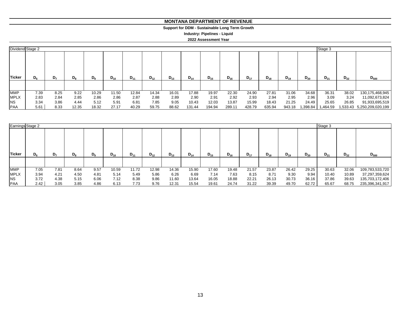#### **MONTANA DEPARTMENT OF REVENUE MONTANA DEPARTMENT OF REVENUE**

#### **Support for DDM - Sustainable Long Term Growth Support for DDM - Sustainable Long Term Growth**

**Industry: Pipelines - Liquid Industry: Pipelines - Liquid**

#### **2022 Assessment Year 2022 Assessment Year**

| Dividend Stage 2 |         |                |         |       |          |          |          |          |          |          |          |          |          |          |          | Stage 3  |          |                            |  |
|------------------|---------|----------------|---------|-------|----------|----------|----------|----------|----------|----------|----------|----------|----------|----------|----------|----------|----------|----------------------------|--|
| Ticker           | $D_{6}$ | D <sub>7</sub> | $D_{8}$ | $D_9$ | $D_{10}$ | $D_{11}$ | $D_{12}$ | $D_{13}$ | $D_{14}$ | $D_{15}$ | $D_{16}$ | $D_{17}$ | $D_{18}$ | $D_{19}$ | $D_{20}$ | $D_{21}$ | $D_{22}$ | $D_{500}$                  |  |
| <b>MMP</b>       | 7.39    | 8.25           | 9.22    | 10.29 | 11.50    | 12.84    | 14.34    | 16.01    | 17.88    | 19.97    | 22.30    | 24.90    | 27.81    | 31.06    | 34.68    | 36.31    | 38.02    | 130,175,468,945            |  |
| <b>MPLX</b>      | 2.83    | 2.84           | 2.85    | 2.86  | 2.86     | 2.87     | 2.88     | 2.89     | 2.90     | 2.91     | 2.92     | 2.93     | 2.94     | 2.95     | 2.96     | 3.09     | 3.24     | 11,092,673,824             |  |
| <b>NS</b>        | 3.34    | 3.86           | 4.44    | 5.12  | 5.91     | 6.81     | 7.85     | 9.05     | 10.43    | 12.03    | 13.87    | 15.99    | 18.43    | 21.25    | 24.49    | 25.65    | 26.85    | 91,933,695,519             |  |
| <b>PAA</b>       | 5.61    | 8.33           | 12.35   | 18.32 | 27.17    | 40.29    | 59.75    | 88.62    | 131.44   | 194.94   | 289.11   | 428.79   | 635.94   | 943.18   | .398.84  | 1,464.59 |          | 1,533.43 5,250,209,020,199 |  |

| Earnings Stage 2 |         |      |         |       |          |          |          |          |          |          |          |          |          |          |          | Stage 3  |          |                 |
|------------------|---------|------|---------|-------|----------|----------|----------|----------|----------|----------|----------|----------|----------|----------|----------|----------|----------|-----------------|
| Ticker           | $D_{6}$ | D,   | $D_{8}$ | $D_9$ | $D_{10}$ | $D_{11}$ | $D_{12}$ | $D_{13}$ | $D_{14}$ | $D_{15}$ | $D_{16}$ | $D_{17}$ | $D_{18}$ | $D_{19}$ | $D_{20}$ | $D_{21}$ | $D_{22}$ | $D_{500}$       |
|                  |         |      |         |       |          |          |          |          |          |          |          |          |          |          |          |          |          |                 |
| <b>MMP</b>       | 7.05    | 7.81 | 8.64    | 9.57  | 10.59    | 11.72    | 12.98    | 14.36    | 15.90    | 17.60    | 19.48    | 21.57    | 23.87    | 26.42    | 29.25    | 30.63    | 32.06    | 109,783,533,720 |
| <b>MPLX</b>      | 3.94    | 4.21 | 4.50    | 4.81  | 5.14     | 5.49     | 5.86     | 6.26     | 6.69     | 7.14     | 7.63     | 8.15     | 8.71     | 9.30     | 9.94     | 10.40    | 10.89    | 37,297,359,624  |
| <b>NS</b>        | 3.72    | 4.38 | 5.15    | 6.06  | 7.12     | 8.38     | 9.86     | 11.60    | 13.64    | 16.05    | 18.88    | 22.21    | 26.13    | 30.73    | 36.16    | 37.86    | 39.63    | 135,703,172,406 |
| <b>PAA</b>       | 2.42    | 3.05 | 3.85    | 4.86  | 6.13     | 7.73     | 9.76     | 12.31    | 15.54    | 19.61    | 24.74    | 31.22    | 39.39    | 49.70    | 62.72    | 65.67    | 68.75    | 235,396,341,917 |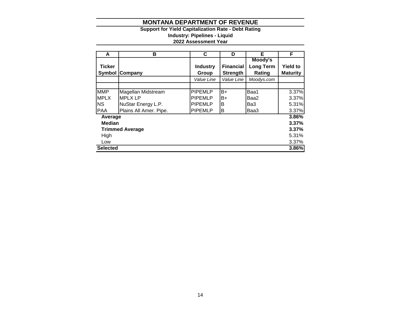## **Support for Yield Capitalization Rate - Debt Rating Industry: Pipelines - Liquid**

# **2022 Assessment Year**

| A                               | в                      | C               | D                | Е                | F               |  |  |  |
|---------------------------------|------------------------|-----------------|------------------|------------------|-----------------|--|--|--|
|                                 |                        |                 |                  | Moody's          |                 |  |  |  |
| <b>Ticker</b>                   |                        | <b>Industry</b> | <b>Financial</b> | <b>Long Term</b> | <b>Yield to</b> |  |  |  |
| Symbol                          | Company                | Group           | <b>Strength</b>  | Rating           | <b>Maturity</b> |  |  |  |
|                                 |                        | Value Line      | Value Line       | Moodys.com       |                 |  |  |  |
|                                 |                        |                 |                  |                  |                 |  |  |  |
| <b>MMP</b>                      | Magellan Midstream     | <b>PIPEMLP</b>  | B+               | Baa1             | 3.37%           |  |  |  |
| <b>MPLX</b>                     | <b>MPLX LP</b>         | <b>PIPEMLP</b>  | B+               | Baa2             | 3.37%           |  |  |  |
| <b>NS</b>                       | NuStar Energy L.P.     | <b>PIPEMLP</b>  | B                | Ba3              | 5.31%           |  |  |  |
| <b>PAA</b>                      | Plains All Amer. Pipe. | <b>PIPEMLP</b>  | B                | Baa3             | 3.37%           |  |  |  |
| Average                         |                        |                 |                  |                  | 3.86%           |  |  |  |
| <b>Median</b>                   |                        |                 |                  |                  | 3.37%           |  |  |  |
| 3.37%<br><b>Trimmed Average</b> |                        |                 |                  |                  |                 |  |  |  |
| 5.31%<br>High                   |                        |                 |                  |                  |                 |  |  |  |
| Low                             |                        |                 |                  |                  | 3.37%           |  |  |  |
| <b>Selected</b>                 |                        |                 |                  |                  | 3.86%           |  |  |  |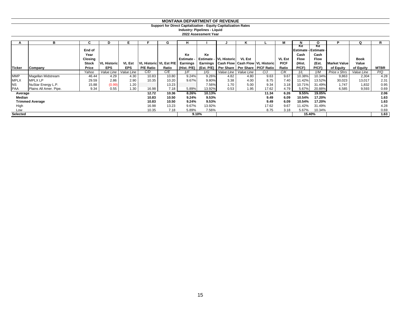**Support for Direct Capitalization - Equity Capitalization Rates**

**2022 Assessment Year Industry: Pipelines - Liquid**

|                 | в                      |              |                    |            |                          | G     |                 |          |                                | n             |                                                               |               |                     |             |                     | Ω          |             |
|-----------------|------------------------|--------------|--------------------|------------|--------------------------|-------|-----------------|----------|--------------------------------|---------------|---------------------------------------------------------------|---------------|---------------------|-------------|---------------------|------------|-------------|
|                 |                        |              |                    |            |                          |       |                 |          |                                |               |                                                               |               | Ke                  | Ke          |                     |            |             |
|                 |                        | End of       |                    |            |                          |       |                 |          |                                |               |                                                               |               | Estimate - Estimate |             |                     |            |             |
|                 |                        | Year         |                    |            |                          |       | Кe              | Ke       |                                |               |                                                               |               | Cash                | Cash        |                     |            |             |
|                 |                        | Closing      |                    |            |                          |       | <b>Estimate</b> |          | <b>Estimate - IVL Historic</b> | <b>VL Est</b> |                                                               | <b>VL Est</b> | <b>Flow</b>         | <b>Flow</b> |                     | Book       |             |
|                 |                        | <b>Stock</b> | <b>VL Historic</b> | VL Est     | VL Historic   VL Est P/E |       | Earnings        | Earnings |                                |               | <b>Cash Flow Cash Flow VL Historic</b>                        | P/CF          | (Hist.              | (Est.       | <b>Market Value</b> | Value      |             |
| <b>Ticker</b>   | Company                | Price        | <b>EPS</b>         | <b>EPS</b> | <b>P/E Ratio</b>         | Ratio |                 |          |                                |               | (Hist. P/E)   (Est. P/E)   Per Share   Per Share   P/CF Ratio | Ratio         | $P$ / $CF$ )        | $P$ $CF$    | of Equity           | of Equity  | <b>MTBR</b> |
|                 |                        | Yahoo        | Value Line         | Value Line | C/D                      | C/E   | 1/F             | 1/G      | Value Line                     | Value Line    | C/J                                                           | C/K           | 1/L                 | 1/M         | <b>Price x Shrs</b> | Value Line | P/Q         |
| <b>MMP</b>      | Magellan Midstream     | 46.44        | 4.29               | 4.30       | 10.83                    | 10.80 | 9.24%           | 9.26%    | 4.82                           | 4.80          | 9.63                                                          | 9.67          | 10.38%              | 10.34%      | 9,863               | 2,304      | 4.28        |
| <b>MPLX</b>     | <b>MPLX LP</b>         | 29.59        | 2.86               | 2.90       | 10.35                    | 10.20 | 9.67%           | 9.80%    | 3.38                           | 4.00          | 8.75                                                          | 7.40          | 11.42%              | 13.52%      | 30,023              | 13,017     | 2.31        |
| <b>NS</b>       | NuStar Energy L.P.     | 15.88        | (0.99)             | 1.20       |                          | 13.23 |                 | 7.56%    | 1.70                           | 5.00          | 9.34                                                          | 3.18          | 10.71%              | 31.49%      | 1,747               | 1,832      | 0.95        |
| <b>PAA</b>      | Plains All Amer. Pipe. | 9.34         | 0.55               | 1.30       | 16.98                    | 7.18  | 5.89%           | 13.92%   | 0.53                           | 1.95          | 17.62                                                         | 4.79          | 5.67%               | 20.88%      | 6,585               | 9,593      | 0.69        |
| Average         |                        |              |                    |            | 12.72                    | 10.36 | 8.26%           | 10.13%   |                                |               | 11.34                                                         | 6.26          | 9.55%               | 19.05%      |                     |            | 2.06        |
| Median          |                        |              |                    |            | 10.83                    | 10.50 | 9.24%           | 9.53%    |                                |               | 9.49                                                          | 6.09          | 10.54%              | 17.20%      |                     |            | 1.63        |
|                 | <b>Trimmed Average</b> |              |                    |            | 10.83                    | 10.50 | 9.24%           | 9.53%    |                                |               | 9.49                                                          | 6.09          | 10.54%              | 17.20%      |                     |            | 1.63        |
| High            |                        |              |                    |            | 16.98                    | 13.23 | 9.67%           | 13.92%   |                                |               | 17.62                                                         | 9.67          | 11.42%              | 31.49%      |                     |            | 4.28        |
| Low             |                        |              |                    |            | 10.35                    | 7.18  | 5.89%           | 7.56%    |                                |               | 8.75                                                          | 3.18          | 5.67%               | 10.34%      |                     |            | 0.69        |
| <b>Selected</b> |                        |              |                    |            |                          |       |                 | 9.10%    |                                |               |                                                               |               | 15.40%              |             |                     |            | 1.63        |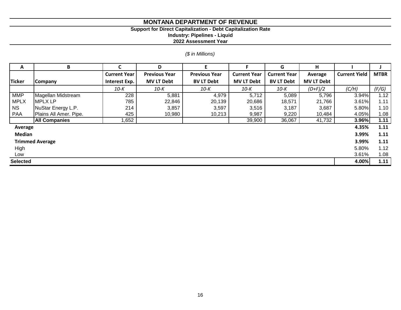# **Support for Direct Capitalization - Debt Capitalization Rate**

**Industry: Pipelines - Liquid**

**2022 Assessment Year**

# *(\$ in Millions)*

| A                      | B                      | C                   | D                    | F                    | F                   | G                   | Н                 |                      |             |  |
|------------------------|------------------------|---------------------|----------------------|----------------------|---------------------|---------------------|-------------------|----------------------|-------------|--|
|                        |                        | <b>Current Year</b> | <b>Previous Year</b> | <b>Previous Year</b> | <b>Current Year</b> | <b>Current Year</b> | Average           | <b>Current Yield</b> | <b>MTBR</b> |  |
| <b>Ticker</b>          | <b>Company</b>         | Interest Exp.       | <b>MV LT Debt</b>    | <b>BV LT Debt</b>    | <b>MV LT Debt</b>   | <b>BV LT Debt</b>   | <b>MV LT Debt</b> |                      |             |  |
|                        |                        | 10-K                | 10-K                 | 10-K                 | 10-K                | 10-K                | $(D+F)/2$         | (C/H)                | (F/G)       |  |
| <b>MMP</b>             | Magellan Midstream     | 228                 | 5,881                | 4,979                | 5,712               | 5,089               | 5,796             | 3.94%                | 1.12        |  |
| <b>MPLX</b>            | <b>MPLX LP</b>         | 785                 | 22,846               | 20,139               | 20,686              | 18,571              | 21,766            | 3.61%                | 1.11        |  |
| <b>NS</b>              | NuStar Energy L.P.     | 214                 | 3,857                | 3,597                | 3,516               | 3,187               | 3,687             | 5.80%                | 1.10        |  |
| PAA                    | Plains All Amer. Pipe. | 425                 | 10,980               | 10,213               | 9,987               | 9,220               | 10,484            | 4.05%                | 1.08        |  |
|                        | <b>All Companies</b>   | 1,652               |                      |                      | 39,900              | 36,067              | 41,732            | 3.96%                | 1.11        |  |
| Average                |                        |                     |                      |                      |                     |                     |                   | 4.35%                | 1.11        |  |
| <b>Median</b>          |                        |                     |                      |                      |                     |                     |                   | 3.99%                | 1.11        |  |
| <b>Trimmed Average</b> |                        |                     |                      |                      |                     |                     |                   |                      |             |  |
| High                   |                        |                     |                      |                      |                     |                     |                   | 5.80%                | 1.12        |  |
| Low                    |                        |                     |                      |                      |                     |                     |                   | 3.61%                | 1.08        |  |
| <b>Selected</b>        |                        |                     |                      |                      |                     |                     |                   | 4.00%                | 1.11        |  |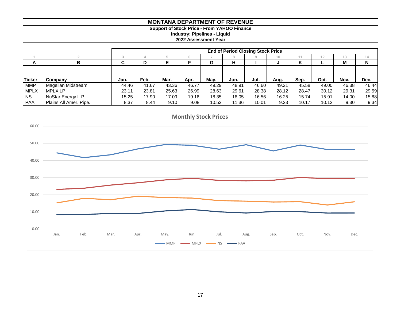# **Support of Stock Price - From YAHOO Finance**

**Industry: Pipelines - Liquid**

**2022 Assessment Year**

|               |                           |       | <b>End of Period Closing Stock Price</b> |       |       |       |       |       |                 |       |       |       |       |  |  |
|---------------|---------------------------|-------|------------------------------------------|-------|-------|-------|-------|-------|-----------------|-------|-------|-------|-------|--|--|
|               |                           |       |                                          |       |       |       |       |       |                 |       |       |       |       |  |  |
|               |                           |       |                                          |       |       |       |       |       | 10 <sup>1</sup> |       | 12    | 13    | (4    |  |  |
| A             |                           |       |                                          | Е     |       | G     | н     |       |                 | n     |       | М     | N     |  |  |
|               |                           |       |                                          |       |       |       |       |       |                 |       |       |       |       |  |  |
|               |                           |       |                                          |       |       |       |       |       |                 |       |       |       |       |  |  |
| <b>Ticker</b> | <b>Company</b>            | Jan.  | Feb.                                     | Mar.  | Apr.  | May.  | Jun.  | Jul.  | Aug.            | Sep.  | Oct.  | Nov.  | Dec.  |  |  |
| <b>MMP</b>    | <b>Magellan Midstream</b> | 44.46 | 41.67                                    | 43.36 | 46.77 | 49.29 | 48.91 | 46.60 | 49.21           | 45.58 | 49.00 | 46.38 | 46.44 |  |  |
| <b>MPLX</b>   | <b>IMPLX LP</b>           | 23.11 | 23.81                                    | 25.63 | 26.99 | 28.63 | 29.61 | 28.38 | 28.12           | 28.47 | 30.12 | 29.31 | 29.59 |  |  |
| <b>NS</b>     | NuStar Energy L.P.        | 15.25 | 17.90                                    | 17.09 | 19.16 | 18.35 | 18.05 | 16.56 | 16.25           | 15.74 | 15.91 | 14.00 | 15.88 |  |  |
| <b>PAA</b>    | Plains All Amer. Pipe.    | 8.37  | 8.44                                     | 9.10  | 9.08  | 10.53 | 11.36 | 10.01 | 9.33            | 10.17 | 10.12 | 9.30  | 9.34  |  |  |